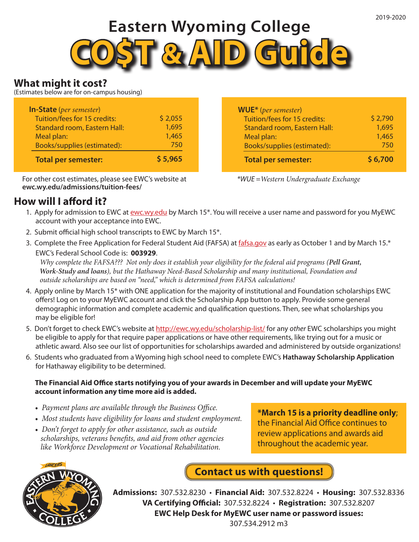# **Eastern Wyoming College**



## **What might it cost?**

(Estimates below are for on-campus housing)

| <b>In-State</b> (per semester)      |         |
|-------------------------------------|---------|
| Tuition/fees for 15 credits:        | \$2,055 |
| <b>Standard room, Eastern Hall:</b> | 1,695   |
| Meal plan:                          | 1,465   |
| Books/supplies (estimated):         | 750     |
| <b>Total per semester:</b>          | \$5,965 |

For other cost estimates, please see EWC's website at **ewc.wy.edu/admissions/tuition-fees/**

## **How will I afford it?**

**WUE\*** (*per semester*) Tuition/fees for 15 credits: Standard room, Eastern Hall: Meal plan: Books/supplies (estimated):  **Total per semester:** \$ 2,790 1,695 1,465 750 **\$ 6,700**

*\*WUE =Western Undergraduate Exchange*

- 1. Apply for admission to EWC at ewc.wy.edu by March 15\*. You will receive a user name and password for you MyEWC account with your acceptance into EWC.
- 2. Submit official high school transcripts to EWC by March 15\*.
- 3. Complete the Free Application for Federal Student Aid (FAFSA) at fafsa.gov as early as October 1 and by March 15.\* EWC's Federal School Code is: **003929**.

 *Why complete the FAFSA??? Not only does it establish your eligibility for the federal aid programs (Pell Grant, Work-Study and loans), but the Hathaway Need-Based Scholarship and many institutional, Foundation and outside scholarships are based on "need," which is determined from FAFSA calculations!*

- 4. Apply online by March 15\* with ONE application for the majority of institutional and Foundation scholarships EWC offers! Log on to your MyEWC account and click the Scholarship App button to apply. Provide some general demographic information and complete academic and qualification questions. Then, see what scholarships you may be eligible for!
- 5. Don't forget to check EWC's website at http://ewc.wy.edu/scholarship-list/ for any *other* EWC scholarships you might be eligible to apply for that require paper applications or have other requirements, like trying out for a music or athletic award. Also see our list of opportunities for scholarships awarded and administered by outside organizations!
- 6. Students who graduated from a Wyoming high school need to complete EWC's **Hathaway Scholarship Application** for Hathaway eligibility to be determined.

#### **The Financial Aid Office starts notifying you of your awards in December and will update your MyEWC account information any time more aid is added.**

- *Payment plans are available through the Business Office.*
- *Most students have eligibility for loans and student employment.*
- *Don't forget to apply for other assistance, such as outside scholarships, veterans benefits, and aid from other agencies like Workforce Development or Vocational Rehabilitation.*

**\*March 15 is a priority deadline only**; the Financial Aid Office continues to review applications and awards aid throughout the academic year.



**Contact us with questions!**

**Admissions:** 307.532.8230 • **Financial Aid:** 307.532.8224 • **Housing:** 307.532.8336 **VA Certifying Official:** 307.532.8224 • **Registration:** 307.532.8207 **EWC Help Desk for MyEWC user name or password issues:** 307.534.2912 m3